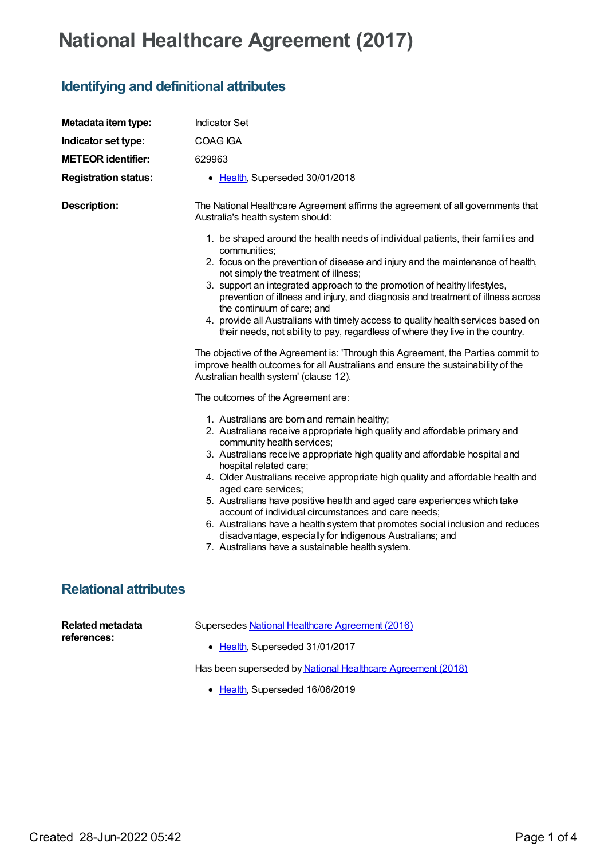## **National Healthcare Agreement (2017)**

## **Identifying and definitional attributes**

| Metadata item type:                    | <b>Indicator Set</b>                                                                                                                                                                                                                                                                                                                                                                                                                                                                                                                                                                                                                                                                                                                                                     |
|----------------------------------------|--------------------------------------------------------------------------------------------------------------------------------------------------------------------------------------------------------------------------------------------------------------------------------------------------------------------------------------------------------------------------------------------------------------------------------------------------------------------------------------------------------------------------------------------------------------------------------------------------------------------------------------------------------------------------------------------------------------------------------------------------------------------------|
| Indicator set type:                    | COAG IGA                                                                                                                                                                                                                                                                                                                                                                                                                                                                                                                                                                                                                                                                                                                                                                 |
| <b>METEOR identifier:</b>              | 629963                                                                                                                                                                                                                                                                                                                                                                                                                                                                                                                                                                                                                                                                                                                                                                   |
| <b>Registration status:</b>            | • Health, Superseded 30/01/2018                                                                                                                                                                                                                                                                                                                                                                                                                                                                                                                                                                                                                                                                                                                                          |
| <b>Description:</b>                    | The National Healthcare Agreement affirms the agreement of all governments that<br>Australia's health system should:                                                                                                                                                                                                                                                                                                                                                                                                                                                                                                                                                                                                                                                     |
|                                        | 1. be shaped around the health needs of individual patients, their families and<br>communities;<br>2. focus on the prevention of disease and injury and the maintenance of health,<br>not simply the treatment of illness;<br>3. support an integrated approach to the promotion of healthy lifestyles,<br>prevention of illness and injury, and diagnosis and treatment of illness across<br>the continuum of care; and<br>4. provide all Australians with timely access to quality health services based on<br>their needs, not ability to pay, regardless of where they live in the country.<br>The objective of the Agreement is: 'Through this Agreement, the Parties commit to<br>improve health outcomes for all Australians and ensure the sustainability of the |
|                                        | Australian health system' (clause 12).<br>The outcomes of the Agreement are:                                                                                                                                                                                                                                                                                                                                                                                                                                                                                                                                                                                                                                                                                             |
|                                        | 1. Australians are born and remain healthy;<br>2. Australians receive appropriate high quality and affordable primary and<br>community health services;<br>3. Australians receive appropriate high quality and affordable hospital and<br>hospital related care;<br>4. Older Australians receive appropriate high quality and affordable health and<br>aged care services;<br>5. Australians have positive health and aged care experiences which take<br>account of individual circumstances and care needs;<br>6. Australians have a health system that promotes social inclusion and reduces<br>disadvantage, especially for Indigenous Australians; and<br>7. Australians have a sustainable health system.                                                          |
| <b>Relational attributes</b>           |                                                                                                                                                                                                                                                                                                                                                                                                                                                                                                                                                                                                                                                                                                                                                                          |
| <b>Related metadata</b><br>references: | Supersedes National Healthcare Agreement (2016)<br>• Health, Superseded 31/01/2017                                                                                                                                                                                                                                                                                                                                                                                                                                                                                                                                                                                                                                                                                       |

Has been superseded by National Healthcare [Agreement](https://meteor.aihw.gov.au/content/658550) (2018)

• [Health](https://meteor.aihw.gov.au/RegistrationAuthority/12), Superseded 16/06/2019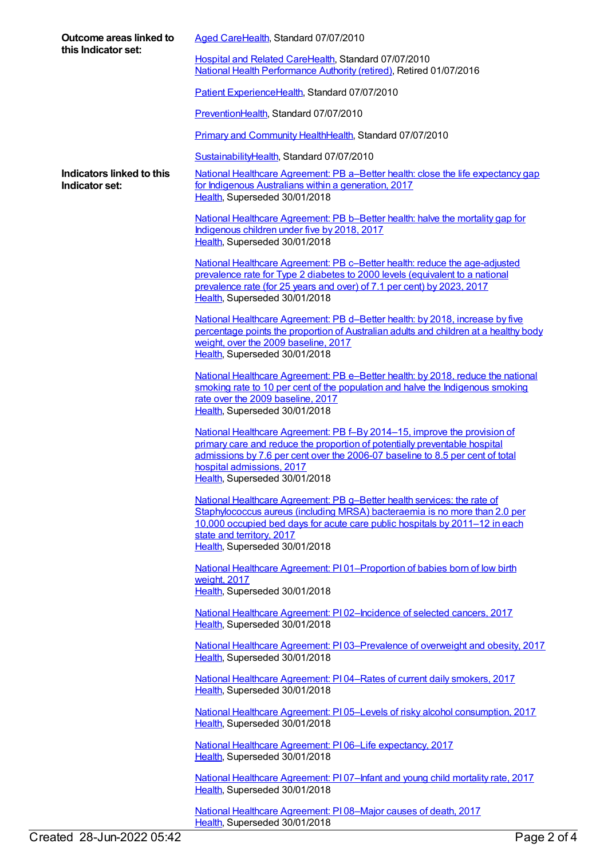| Outcome areas linked to<br>this Indicator set: | Aged CareHealth, Standard 07/07/2010                                                                                                                                                                                                                                                                  |
|------------------------------------------------|-------------------------------------------------------------------------------------------------------------------------------------------------------------------------------------------------------------------------------------------------------------------------------------------------------|
|                                                | Hospital and Related CareHealth, Standard 07/07/2010<br>National Health Performance Authority (retired), Retired 01/07/2016                                                                                                                                                                           |
|                                                | Patient ExperienceHealth, Standard 07/07/2010                                                                                                                                                                                                                                                         |
|                                                | PreventionHealth, Standard 07/07/2010                                                                                                                                                                                                                                                                 |
|                                                | Primary and Community HealthHealth, Standard 07/07/2010                                                                                                                                                                                                                                               |
|                                                | SustainabilityHealth, Standard 07/07/2010                                                                                                                                                                                                                                                             |
| Indicators linked to this<br>Indicator set:    | National Healthcare Agreement: PB a-Better health: close the life expectancy gap<br>for Indigenous Australians within a generation, 2017<br>Health, Superseded 30/01/2018                                                                                                                             |
|                                                | National Healthcare Agreement: PB b-Better health: halve the mortality gap for<br>Indigenous children under five by 2018, 2017<br>Health, Superseded 30/01/2018                                                                                                                                       |
|                                                | National Healthcare Agreement: PB c-Better health: reduce the age-adjusted<br>prevalence rate for Type 2 diabetes to 2000 levels (equivalent to a national<br>prevalence rate (for 25 years and over) of 7.1 per cent) by 2023, 2017<br>Health, Superseded 30/01/2018                                 |
|                                                | National Healthcare Agreement: PB d-Better health: by 2018, increase by five<br>percentage points the proportion of Australian adults and children at a healthy body<br>weight, over the 2009 baseline, 2017<br>Health, Superseded 30/01/2018                                                         |
|                                                | National Healthcare Agreement: PB e-Better health: by 2018, reduce the national<br>smoking rate to 10 per cent of the population and halve the Indigenous smoking<br>rate over the 2009 baseline, 2017<br>Health, Superseded 30/01/2018                                                               |
|                                                | National Healthcare Agreement: PB f-By 2014-15, improve the provision of<br>primary care and reduce the proportion of potentially preventable hospital<br>admissions by 7.6 per cent over the 2006-07 baseline to 8.5 per cent of total<br>hospital admissions, 2017<br>Health, Superseded 30/01/2018 |
|                                                | National Healthcare Agreement: PB g-Better health services: the rate of<br>Staphylococcus aureus (including MRSA) bacteraemia is no more than 2.0 per<br>10,000 occupied bed days for acute care public hospitals by 2011-12 in each<br>state and territory, 2017<br>Health, Superseded 30/01/2018    |
|                                                | National Healthcare Agreement: P101-Proportion of babies born of low birth<br>weight, 2017<br>Health, Superseded 30/01/2018                                                                                                                                                                           |
|                                                | National Healthcare Agreement: PI02-Incidence of selected cancers, 2017<br>Health, Superseded 30/01/2018                                                                                                                                                                                              |
|                                                | National Healthcare Agreement: PI03-Prevalence of overweight and obesity, 2017<br>Health, Superseded 30/01/2018                                                                                                                                                                                       |
|                                                | National Healthcare Agreement: PI04-Rates of current daily smokers, 2017<br>Health, Superseded 30/01/2018                                                                                                                                                                                             |
|                                                | National Healthcare Agreement: PI05-Levels of risky alcohol consumption, 2017<br>Health, Superseded 30/01/2018                                                                                                                                                                                        |
|                                                | National Healthcare Agreement: PI06-Life expectancy, 2017<br>Health, Superseded 30/01/2018                                                                                                                                                                                                            |
|                                                | National Healthcare Agreement: PI 07-Infant and young child mortality rate, 2017<br>Health, Superseded 30/01/2018                                                                                                                                                                                     |
|                                                | National Healthcare Agreement: PI08-Major causes of death, 2017<br>Health, Superseded 30/01/2018                                                                                                                                                                                                      |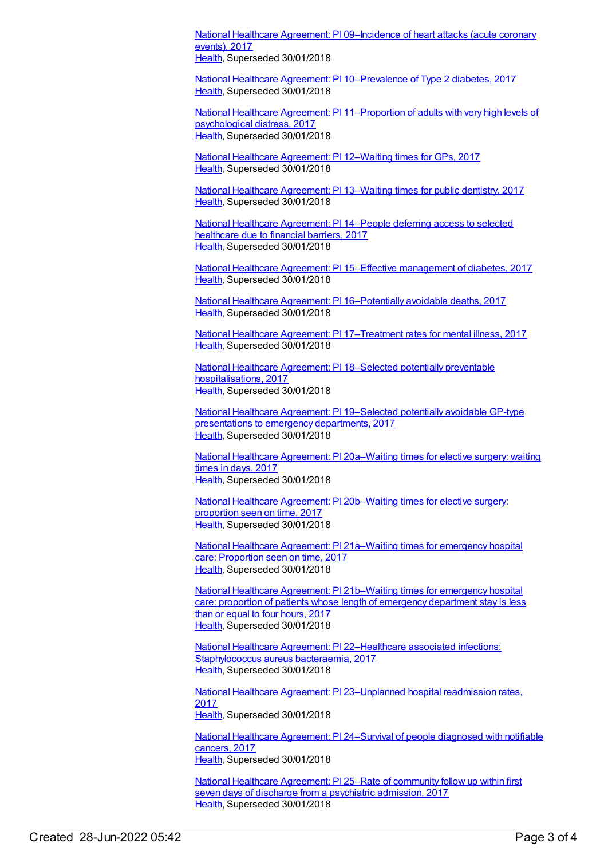National Healthcare Agreement: PI [09–Incidence](https://meteor.aihw.gov.au/content/630008) of heart attacks (acute coronary events), 2017 [Health](https://meteor.aihw.gov.au/RegistrationAuthority/12), Superseded 30/01/2018

National Healthcare Agreement: PI [10–Prevalence](https://meteor.aihw.gov.au/content/630010) of Type 2 diabetes, 2017 [Health](https://meteor.aihw.gov.au/RegistrationAuthority/12), Superseded 30/01/2018

National Healthcare Agreement: PI [11–Proportion](https://meteor.aihw.gov.au/content/630012) of adults with very high levels of psychological distress, 2017 [Health](https://meteor.aihw.gov.au/RegistrationAuthority/12), Superseded 30/01/2018

National Healthcare [Agreement:](https://meteor.aihw.gov.au/content/630014) PI 12–Waiting times for GPs, 2017 [Health](https://meteor.aihw.gov.au/RegistrationAuthority/12), Superseded 30/01/2018

National Healthcare [Agreement:](https://meteor.aihw.gov.au/content/630017) PI 13–Waiting times for public dentistry, 2017 [Health](https://meteor.aihw.gov.au/RegistrationAuthority/12), Superseded 30/01/2018

National Healthcare [Agreement:](https://meteor.aihw.gov.au/content/630020) PI 14–People deferring access to selected healthcare due to financial barriers, 2017 [Health](https://meteor.aihw.gov.au/RegistrationAuthority/12), Superseded 30/01/2018

National Healthcare Agreement: PI 15–Effective [management](https://meteor.aihw.gov.au/content/630022) of diabetes, 2017 [Health](https://meteor.aihw.gov.au/RegistrationAuthority/12), Superseded 30/01/2018

National Healthcare Agreement: PI [16–Potentially](https://meteor.aihw.gov.au/content/630024) avoidable deaths, 2017 [Health](https://meteor.aihw.gov.au/RegistrationAuthority/12), Superseded 30/01/2018

National Healthcare Agreement: PI [17–Treatment](https://meteor.aihw.gov.au/content/630026) rates for mental illness, 2017 [Health](https://meteor.aihw.gov.au/RegistrationAuthority/12), Superseded 30/01/2018

National Healthcare Agreement: PI 18–Selected potentially preventable [hospitalisations,](https://meteor.aihw.gov.au/content/630028) 2017 [Health](https://meteor.aihw.gov.au/RegistrationAuthority/12), Superseded 30/01/2018

National Healthcare Agreement: PI [19–Selected](https://meteor.aihw.gov.au/content/630030) potentially avoidable GP-type presentations to emergency departments, 2017 [Health](https://meteor.aihw.gov.au/RegistrationAuthority/12), Superseded 30/01/2018

National Healthcare Agreement: PI [20a–Waiting](https://meteor.aihw.gov.au/content/630038) times for elective surgery: waiting times in days, 2017 [Health](https://meteor.aihw.gov.au/RegistrationAuthority/12), Superseded 30/01/2018

National Healthcare Agreement: PI [20b–Waiting](https://meteor.aihw.gov.au/content/630040) times for elective surgery: proportion seen on time, 2017 [Health](https://meteor.aihw.gov.au/RegistrationAuthority/12), Superseded 30/01/2018

National Healthcare Agreement: PI [21a–Waiting](https://meteor.aihw.gov.au/content/630043) times for emergency hospital care: Proportion seen on time, 2017 [Health](https://meteor.aihw.gov.au/RegistrationAuthority/12), Superseded 30/01/2018

National Healthcare Agreement: PI [21b–Waiting](https://meteor.aihw.gov.au/content/630045) times for emergency hospital care: proportion of patients whose length of emergency department stay is less than or equal to four hours, 2017 [Health](https://meteor.aihw.gov.au/RegistrationAuthority/12), Superseded 30/01/2018

National Healthcare Agreement: PI [22–Healthcare](https://meteor.aihw.gov.au/content/630047) associated infections: Staphylococcus aureus bacteraemia, 2017 [Health](https://meteor.aihw.gov.au/RegistrationAuthority/12), Superseded 30/01/2018

National Healthcare Agreement: PI [23–Unplanned](https://meteor.aihw.gov.au/content/630049) hospital readmission rates, 2017 [Health](https://meteor.aihw.gov.au/RegistrationAuthority/12), Superseded 30/01/2018

National Healthcare Agreement: PI [24–Survival](https://meteor.aihw.gov.au/content/630051) of people diagnosed with notifiable cancers, 2017 [Health](https://meteor.aihw.gov.au/RegistrationAuthority/12), Superseded 30/01/2018

National Healthcare [Agreement:](https://meteor.aihw.gov.au/content/630053) PI 25–Rate of community follow up within first seven days of discharge from a psychiatric admission, 2017 [Health](https://meteor.aihw.gov.au/RegistrationAuthority/12), Superseded 30/01/2018